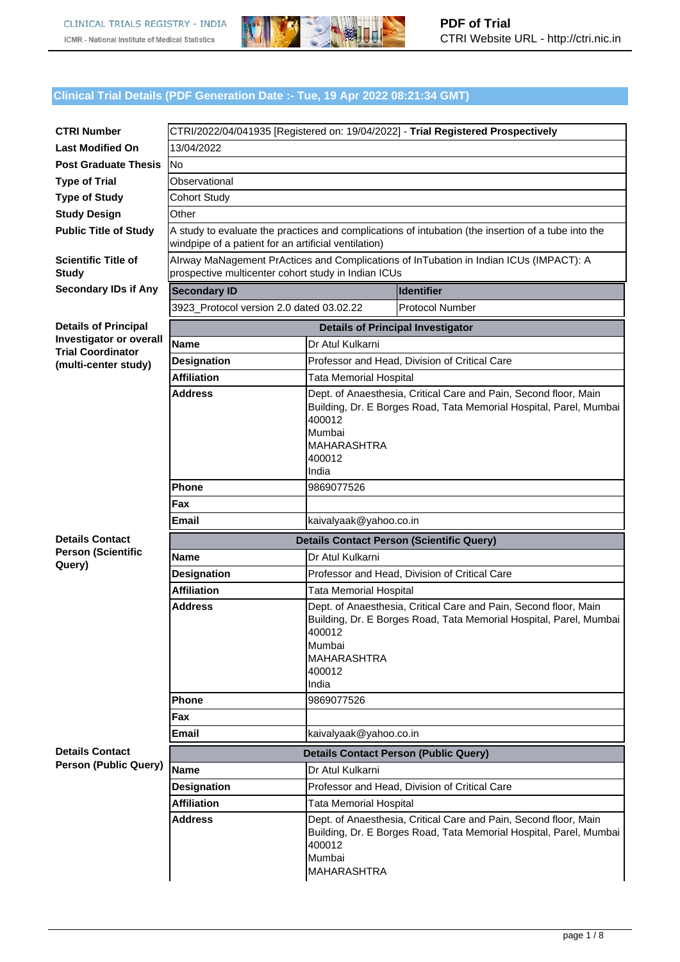

#### **Clinical Trial Details (PDF Generation Date :- Tue, 19 Apr 2022 08:21:34 GMT)**

| <b>CTRI Number</b>                                         |                                                                                                                                                             |                                                                                                                                                                                                     |                                              |  |  |  |
|------------------------------------------------------------|-------------------------------------------------------------------------------------------------------------------------------------------------------------|-----------------------------------------------------------------------------------------------------------------------------------------------------------------------------------------------------|----------------------------------------------|--|--|--|
| <b>Last Modified On</b>                                    | CTRI/2022/04/041935 [Registered on: 19/04/2022] - Trial Registered Prospectively                                                                            |                                                                                                                                                                                                     |                                              |  |  |  |
| <b>Post Graduate Thesis</b>                                | 13/04/2022                                                                                                                                                  |                                                                                                                                                                                                     |                                              |  |  |  |
| <b>Type of Trial</b>                                       | <b>No</b>                                                                                                                                                   |                                                                                                                                                                                                     |                                              |  |  |  |
|                                                            | Observational                                                                                                                                               |                                                                                                                                                                                                     |                                              |  |  |  |
| <b>Type of Study</b>                                       | <b>Cohort Study</b><br>Other                                                                                                                                |                                                                                                                                                                                                     |                                              |  |  |  |
| <b>Study Design</b>                                        |                                                                                                                                                             |                                                                                                                                                                                                     |                                              |  |  |  |
| <b>Public Title of Study</b>                               | A study to evaluate the practices and complications of intubation (the insertion of a tube into the<br>windpipe of a patient for an artificial ventilation) |                                                                                                                                                                                                     |                                              |  |  |  |
| <b>Scientific Title of</b><br><b>Study</b>                 | Alrway MaNagement PrActices and Complications of InTubation in Indian ICUs (IMPACT): A<br>prospective multicenter cohort study in Indian ICUs               |                                                                                                                                                                                                     |                                              |  |  |  |
| <b>Secondary IDs if Any</b>                                | <b>Identifier</b><br><b>Secondary ID</b>                                                                                                                    |                                                                                                                                                                                                     |                                              |  |  |  |
|                                                            | 3923_Protocol version 2.0 dated 03.02.22                                                                                                                    |                                                                                                                                                                                                     | <b>Protocol Number</b>                       |  |  |  |
| <b>Details of Principal</b>                                |                                                                                                                                                             | <b>Details of Principal Investigator</b>                                                                                                                                                            |                                              |  |  |  |
| <b>Investigator or overall</b><br><b>Trial Coordinator</b> | <b>Name</b>                                                                                                                                                 | Dr Atul Kulkarni                                                                                                                                                                                    |                                              |  |  |  |
| (multi-center study)                                       | <b>Designation</b>                                                                                                                                          | Professor and Head, Division of Critical Care                                                                                                                                                       |                                              |  |  |  |
|                                                            | <b>Affiliation</b>                                                                                                                                          | <b>Tata Memorial Hospital</b>                                                                                                                                                                       |                                              |  |  |  |
|                                                            | <b>Address</b>                                                                                                                                              | Dept. of Anaesthesia, Critical Care and Pain, Second floor, Main<br>Building, Dr. E Borges Road, Tata Memorial Hospital, Parel, Mumbai<br>400012<br>Mumbai<br><b>MAHARASHTRA</b><br>400012<br>India |                                              |  |  |  |
|                                                            | Phone                                                                                                                                                       | 9869077526                                                                                                                                                                                          |                                              |  |  |  |
|                                                            | Fax                                                                                                                                                         |                                                                                                                                                                                                     |                                              |  |  |  |
|                                                            | kaivalyaak@yahoo.co.in<br>Email                                                                                                                             |                                                                                                                                                                                                     |                                              |  |  |  |
| <b>Details Contact</b>                                     | <b>Details Contact Person (Scientific Query)</b>                                                                                                            |                                                                                                                                                                                                     |                                              |  |  |  |
| <b>Person (Scientific</b>                                  | Name                                                                                                                                                        | Dr Atul Kulkarni                                                                                                                                                                                    |                                              |  |  |  |
| Query)                                                     | <b>Designation</b>                                                                                                                                          | Professor and Head, Division of Critical Care                                                                                                                                                       |                                              |  |  |  |
|                                                            | <b>Affiliation</b>                                                                                                                                          | <b>Tata Memorial Hospital</b>                                                                                                                                                                       |                                              |  |  |  |
|                                                            | <b>Address</b>                                                                                                                                              | Dept. of Anaesthesia, Critical Care and Pain, Second floor, Main<br>Building, Dr. E Borges Road, Tata Memorial Hospital, Parel, Mumbai<br>400012<br>Mumbai<br><b>MAHARASHTRA</b><br>400012<br>India |                                              |  |  |  |
|                                                            | <b>Phone</b>                                                                                                                                                | 9869077526                                                                                                                                                                                          |                                              |  |  |  |
|                                                            | Fax                                                                                                                                                         |                                                                                                                                                                                                     |                                              |  |  |  |
|                                                            | Email                                                                                                                                                       | kaivalyaak@yahoo.co.in                                                                                                                                                                              |                                              |  |  |  |
| <b>Details Contact</b>                                     |                                                                                                                                                             |                                                                                                                                                                                                     | <b>Details Contact Person (Public Query)</b> |  |  |  |
| <b>Person (Public Query)</b>                               | <b>Name</b>                                                                                                                                                 | Dr Atul Kulkarni                                                                                                                                                                                    |                                              |  |  |  |
|                                                            | <b>Designation</b>                                                                                                                                          | Professor and Head, Division of Critical Care                                                                                                                                                       |                                              |  |  |  |
|                                                            | <b>Affiliation</b>                                                                                                                                          | Tata Memorial Hospital                                                                                                                                                                              |                                              |  |  |  |
|                                                            | <b>Address</b>                                                                                                                                              | Dept. of Anaesthesia, Critical Care and Pain, Second floor, Main<br>Building, Dr. E Borges Road, Tata Memorial Hospital, Parel, Mumbai<br>400012<br>Mumbai<br><b>MAHARASHTRA</b>                    |                                              |  |  |  |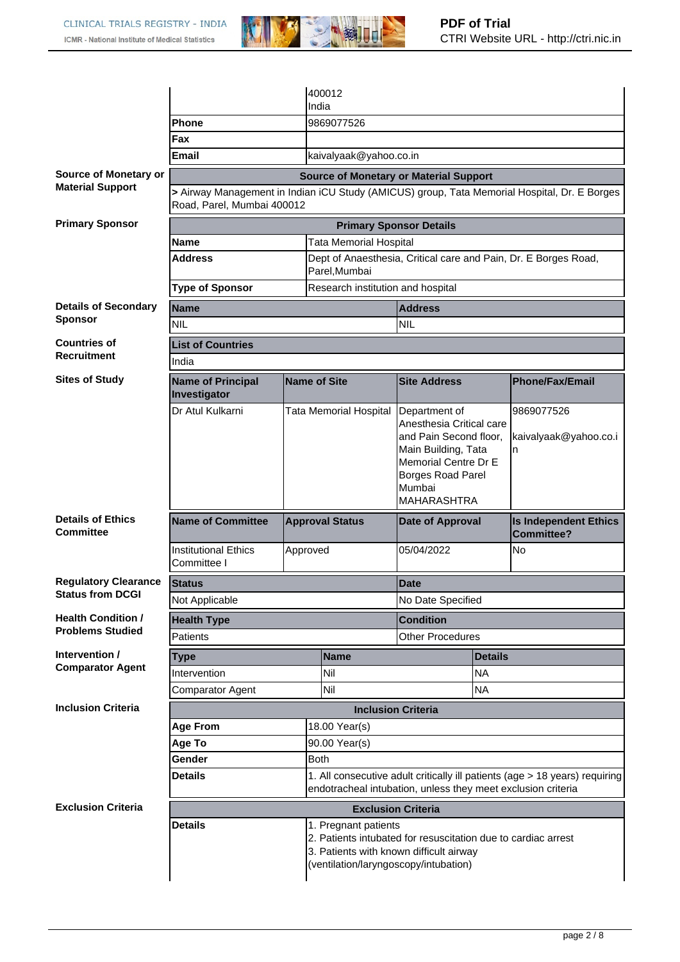

|                                              |                                                                                                                                                               |                        |             | 400012                                                                           |                                                                                                                                                                         |           |                                            |  |
|----------------------------------------------|---------------------------------------------------------------------------------------------------------------------------------------------------------------|------------------------|-------------|----------------------------------------------------------------------------------|-------------------------------------------------------------------------------------------------------------------------------------------------------------------------|-----------|--------------------------------------------|--|
|                                              |                                                                                                                                                               |                        | India       |                                                                                  |                                                                                                                                                                         |           |                                            |  |
|                                              | Phone                                                                                                                                                         |                        |             | 9869077526                                                                       |                                                                                                                                                                         |           |                                            |  |
|                                              | Fax                                                                                                                                                           |                        |             |                                                                                  |                                                                                                                                                                         |           |                                            |  |
|                                              | <b>Email</b>                                                                                                                                                  |                        |             | kaivalyaak@yahoo.co.in                                                           |                                                                                                                                                                         |           |                                            |  |
| <b>Source of Monetary or</b>                 | <b>Source of Monetary or Material Support</b>                                                                                                                 |                        |             |                                                                                  |                                                                                                                                                                         |           |                                            |  |
| <b>Material Support</b>                      | > Airway Management in Indian iCU Study (AMICUS) group, Tata Memorial Hospital, Dr. E Borges<br>Road, Parel, Mumbai 400012                                    |                        |             |                                                                                  |                                                                                                                                                                         |           |                                            |  |
| <b>Primary Sponsor</b>                       | <b>Primary Sponsor Details</b>                                                                                                                                |                        |             |                                                                                  |                                                                                                                                                                         |           |                                            |  |
|                                              | Name                                                                                                                                                          |                        |             | <b>Tata Memorial Hospital</b>                                                    |                                                                                                                                                                         |           |                                            |  |
|                                              | Address                                                                                                                                                       |                        |             | Dept of Anaesthesia, Critical care and Pain, Dr. E Borges Road,<br>Parel, Mumbai |                                                                                                                                                                         |           |                                            |  |
|                                              | <b>Type of Sponsor</b>                                                                                                                                        |                        |             | Research institution and hospital                                                |                                                                                                                                                                         |           |                                            |  |
| <b>Details of Secondary</b>                  | <b>Name</b><br><b>Address</b>                                                                                                                                 |                        |             |                                                                                  |                                                                                                                                                                         |           |                                            |  |
| <b>Sponsor</b>                               | <b>NIL</b>                                                                                                                                                    |                        |             | <b>NIL</b>                                                                       |                                                                                                                                                                         |           |                                            |  |
| <b>Countries of</b>                          | <b>List of Countries</b>                                                                                                                                      |                        |             |                                                                                  |                                                                                                                                                                         |           |                                            |  |
| <b>Recruitment</b>                           | India                                                                                                                                                         |                        |             |                                                                                  |                                                                                                                                                                         |           |                                            |  |
| <b>Sites of Study</b>                        | <b>Name of Principal</b><br>Investigator                                                                                                                      | <b>Name of Site</b>    |             |                                                                                  | <b>Site Address</b>                                                                                                                                                     |           | <b>Phone/Fax/Email</b>                     |  |
|                                              | Dr Atul Kulkarni                                                                                                                                              |                        |             | Tata Memorial Hospital                                                           | Department of<br>Anesthesia Critical care<br>and Pain Second floor,<br>Main Building, Tata<br>Memorial Centre Dr E<br>Borges Road Parel<br>Mumbai<br><b>MAHARASHTRA</b> |           | 9869077526<br>kaivalyaak@yahoo.co.i<br>n   |  |
| <b>Details of Ethics</b><br><b>Committee</b> | <b>Name of Committee</b>                                                                                                                                      | <b>Approval Status</b> |             |                                                                                  | <b>Date of Approval</b>                                                                                                                                                 |           | <b>Is Independent Ethics</b><br>Committee? |  |
|                                              | <b>Institutional Ethics</b><br>Committee I                                                                                                                    | Approved               |             |                                                                                  | 05/04/2022                                                                                                                                                              |           | No                                         |  |
| <b>Regulatory Clearance</b>                  | <b>Status</b>                                                                                                                                                 |                        |             |                                                                                  | <b>Date</b>                                                                                                                                                             |           |                                            |  |
| <b>Status from DCGI</b>                      | Not Applicable                                                                                                                                                |                        |             |                                                                                  | No Date Specified                                                                                                                                                       |           |                                            |  |
| <b>Health Condition /</b>                    | <b>Health Type</b>                                                                                                                                            |                        |             |                                                                                  | <b>Condition</b>                                                                                                                                                        |           |                                            |  |
| <b>Problems Studied</b>                      | Patients                                                                                                                                                      |                        |             |                                                                                  | <b>Other Procedures</b>                                                                                                                                                 |           |                                            |  |
| Intervention /                               | <b>Type</b>                                                                                                                                                   |                        | <b>Name</b> |                                                                                  | <b>Details</b>                                                                                                                                                          |           |                                            |  |
| <b>Comparator Agent</b>                      | Intervention                                                                                                                                                  |                        |             | Nil                                                                              | <b>NA</b>                                                                                                                                                               |           |                                            |  |
|                                              | Comparator Agent                                                                                                                                              |                        | Nil         |                                                                                  |                                                                                                                                                                         | <b>NA</b> |                                            |  |
| <b>Inclusion Criteria</b>                    | <b>Inclusion Criteria</b>                                                                                                                                     |                        |             |                                                                                  |                                                                                                                                                                         |           |                                            |  |
|                                              | 18.00 Year(s)<br><b>Age From</b>                                                                                                                              |                        |             |                                                                                  |                                                                                                                                                                         |           |                                            |  |
|                                              | 90.00 Year(s)<br>Age To                                                                                                                                       |                        |             |                                                                                  |                                                                                                                                                                         |           |                                            |  |
|                                              | Gender                                                                                                                                                        |                        | <b>Both</b> |                                                                                  |                                                                                                                                                                         |           |                                            |  |
|                                              | <b>Details</b><br>1. All consecutive adult critically ill patients (age > 18 years) requiring<br>endotracheal intubation, unless they meet exclusion criteria |                        |             |                                                                                  |                                                                                                                                                                         |           |                                            |  |
| <b>Exclusion Criteria</b>                    | <b>Exclusion Criteria</b>                                                                                                                                     |                        |             |                                                                                  |                                                                                                                                                                         |           |                                            |  |
|                                              | <b>Details</b>                                                                                                                                                |                        |             | 1. Pregnant patients                                                             | 2. Patients intubated for resuscitation due to cardiac arrest<br>3. Patients with known difficult airway<br>(ventilation/laryngoscopy/intubation)                       |           |                                            |  |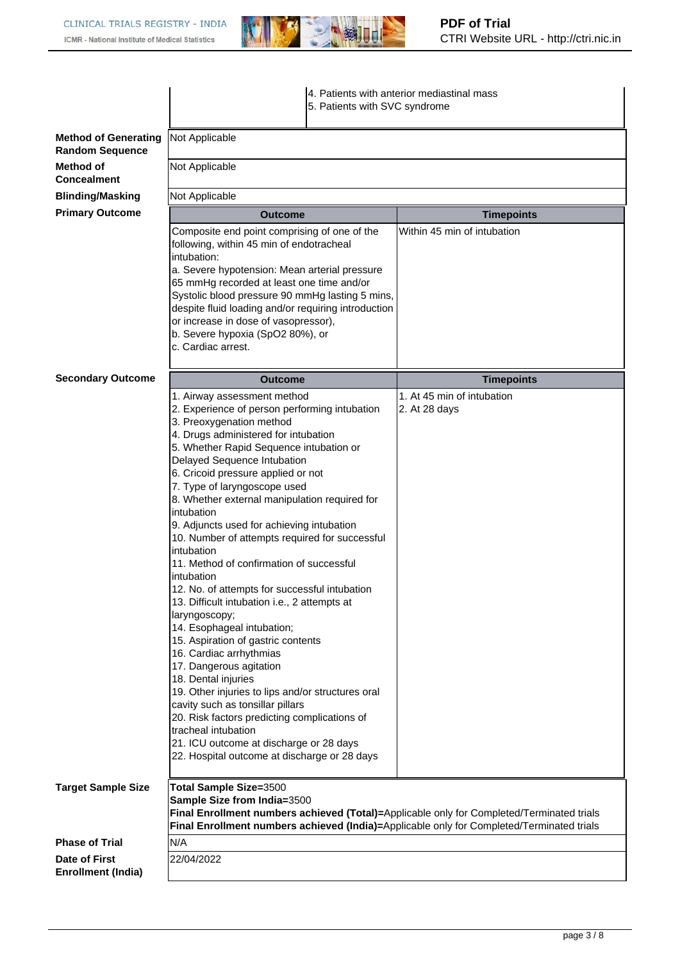

|                                                       |                                                                                                                                                                                                                                                                                                                                                                                                                                                                                                                                                                                                                                                                                                                                                                                                                                                                                                                                                                                                                                                                      |                             | 4. Patients with anterior mediastinal mass<br>5. Patients with SVC syndrome                                                                                                            |  |  |
|-------------------------------------------------------|----------------------------------------------------------------------------------------------------------------------------------------------------------------------------------------------------------------------------------------------------------------------------------------------------------------------------------------------------------------------------------------------------------------------------------------------------------------------------------------------------------------------------------------------------------------------------------------------------------------------------------------------------------------------------------------------------------------------------------------------------------------------------------------------------------------------------------------------------------------------------------------------------------------------------------------------------------------------------------------------------------------------------------------------------------------------|-----------------------------|----------------------------------------------------------------------------------------------------------------------------------------------------------------------------------------|--|--|
| <b>Method of Generating</b><br><b>Random Sequence</b> | Not Applicable                                                                                                                                                                                                                                                                                                                                                                                                                                                                                                                                                                                                                                                                                                                                                                                                                                                                                                                                                                                                                                                       |                             |                                                                                                                                                                                        |  |  |
| Method of<br><b>Concealment</b>                       | Not Applicable                                                                                                                                                                                                                                                                                                                                                                                                                                                                                                                                                                                                                                                                                                                                                                                                                                                                                                                                                                                                                                                       |                             |                                                                                                                                                                                        |  |  |
| <b>Blinding/Masking</b>                               | Not Applicable                                                                                                                                                                                                                                                                                                                                                                                                                                                                                                                                                                                                                                                                                                                                                                                                                                                                                                                                                                                                                                                       |                             |                                                                                                                                                                                        |  |  |
| <b>Primary Outcome</b>                                | Outcome                                                                                                                                                                                                                                                                                                                                                                                                                                                                                                                                                                                                                                                                                                                                                                                                                                                                                                                                                                                                                                                              |                             | <b>Timepoints</b>                                                                                                                                                                      |  |  |
|                                                       | Composite end point comprising of one of the<br>following, within 45 min of endotracheal<br>intubation:<br>a. Severe hypotension: Mean arterial pressure<br>65 mmHg recorded at least one time and/or<br>Systolic blood pressure 90 mmHg lasting 5 mins,<br>despite fluid loading and/or requiring introduction<br>or increase in dose of vasopressor),<br>b. Severe hypoxia (SpO2 80%), or<br>c. Cardiac arrest.                                                                                                                                                                                                                                                                                                                                                                                                                                                                                                                                                                                                                                                    | Within 45 min of intubation |                                                                                                                                                                                        |  |  |
| <b>Secondary Outcome</b>                              | <b>Outcome</b>                                                                                                                                                                                                                                                                                                                                                                                                                                                                                                                                                                                                                                                                                                                                                                                                                                                                                                                                                                                                                                                       |                             | <b>Timepoints</b>                                                                                                                                                                      |  |  |
|                                                       | 1. Airway assessment method<br>2. Experience of person performing intubation<br>3. Preoxygenation method<br>4. Drugs administered for intubation<br>5. Whether Rapid Sequence intubation or<br>Delayed Sequence Intubation<br>6. Cricoid pressure applied or not<br>7. Type of laryngoscope used<br>8. Whether external manipulation required for<br>intubation<br>9. Adjuncts used for achieving intubation<br>10. Number of attempts required for successful<br>intubation<br>11. Method of confirmation of successful<br>intubation<br>12. No. of attempts for successful intubation<br>13. Difficult intubation i.e., 2 attempts at<br>laryngoscopy;<br>14. Esophageal intubation;<br>15. Aspiration of gastric contents<br>16. Cardiac arrhythmias<br>17. Dangerous agitation<br>18. Dental injuries<br>19. Other injuries to lips and/or structures oral<br>cavity such as tonsillar pillars<br>20. Risk factors predicting complications of<br>tracheal intubation<br>21. ICU outcome at discharge or 28 days<br>22. Hospital outcome at discharge or 28 days |                             | 1. At 45 min of intubation<br>2. At 28 days                                                                                                                                            |  |  |
| <b>Target Sample Size</b>                             | Total Sample Size=3500<br>Sample Size from India=3500                                                                                                                                                                                                                                                                                                                                                                                                                                                                                                                                                                                                                                                                                                                                                                                                                                                                                                                                                                                                                |                             | Final Enrollment numbers achieved (Total)=Applicable only for Completed/Terminated trials<br>Final Enrollment numbers achieved (India)=Applicable only for Completed/Terminated trials |  |  |
| <b>Phase of Trial</b>                                 | N/A                                                                                                                                                                                                                                                                                                                                                                                                                                                                                                                                                                                                                                                                                                                                                                                                                                                                                                                                                                                                                                                                  |                             |                                                                                                                                                                                        |  |  |
|                                                       |                                                                                                                                                                                                                                                                                                                                                                                                                                                                                                                                                                                                                                                                                                                                                                                                                                                                                                                                                                                                                                                                      |                             |                                                                                                                                                                                        |  |  |
| Date of First<br><b>Enrollment (India)</b>            | 22/04/2022                                                                                                                                                                                                                                                                                                                                                                                                                                                                                                                                                                                                                                                                                                                                                                                                                                                                                                                                                                                                                                                           |                             |                                                                                                                                                                                        |  |  |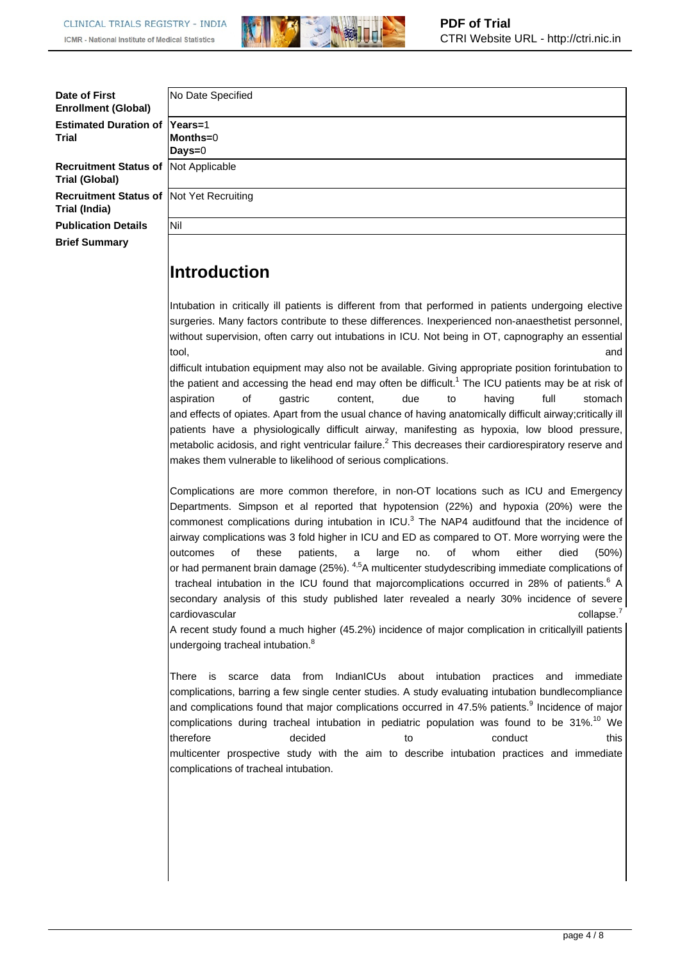**Introduction**



| Date of First<br><b>Enrollment (Global)</b>                       | No Date Specified  |
|-------------------------------------------------------------------|--------------------|
| <b>Estimated Duration of Years=1</b><br><b>Trial</b>              | Months=0<br>Days=0 |
| Recruitment Status of   Not Applicable<br><b>Trial (Global)</b>   |                    |
| <b>Recruitment Status of  Not Yet Recruiting</b><br>Trial (India) |                    |
| <b>Publication Details</b>                                        | lNil               |
| <b>Brief Summary</b>                                              |                    |

Intubation in critically ill patients is different from that performed in patients undergoing elective surgeries. Many factors contribute to these differences. Inexperienced non-anaesthetist personnel, without supervision, often carry out intubations in ICU. Not being in OT, capnography an essential tool, and the control of the control of the control of the control of the control of the control of the control of the control of the control of the control of the control of the control of the control of the control of th

difficult intubation equipment may also not be available. Giving appropriate position forintubation to the patient and accessing the head end may often be difficult.<sup>1</sup> The ICU patients may be at risk of aspiration of gastric content, due to having full stomach and effects of opiates. Apart from the usual chance of having anatomically difficult airway;critically ill patients have a physiologically difficult airway, manifesting as hypoxia, low blood pressure, metabolic acidosis, and right ventricular failure. $<sup>2</sup>$  This decreases their cardiorespiratory reserve and</sup> makes them vulnerable to likelihood of serious complications.

Complications are more common therefore, in non-OT locations such as ICU and Emergency Departments. Simpson et al reported that hypotension (22%) and hypoxia (20%) were the commonest complications during intubation in ICU. ${}^{3}$  The NAP4 auditfound that the incidence of airway complications was 3 fold higher in ICU and ED as compared to OT. More worrying were the outcomes of these patients, a large no. of whom either died (50%) or had permanent brain damage (25%). <sup>4,5</sup>A multicenter studydescribing immediate complications of tracheal intubation in the ICU found that majorcomplications occurred in 28% of patients.<sup>6</sup> A secondary analysis of this study published later revealed a nearly 30% incidence of severe cardiovascular collapse.<sup>7</sup>

A recent study found a much higher (45.2%) incidence of major complication in criticallyill patients undergoing tracheal intubation.<sup>8</sup>

There is scarce data from IndianICUs about intubation practices and immediate complications, barring a few single center studies. A study evaluating intubation bundlecompliance and complications found that major complications occurred in 47.5% patients.<sup>9</sup> Incidence of major complications during tracheal intubation in pediatric population was found to be  $31\%$ .<sup>10</sup> We therefore the decided to to conduct this multicenter prospective study with the aim to describe intubation practices and immediate complications of tracheal intubation.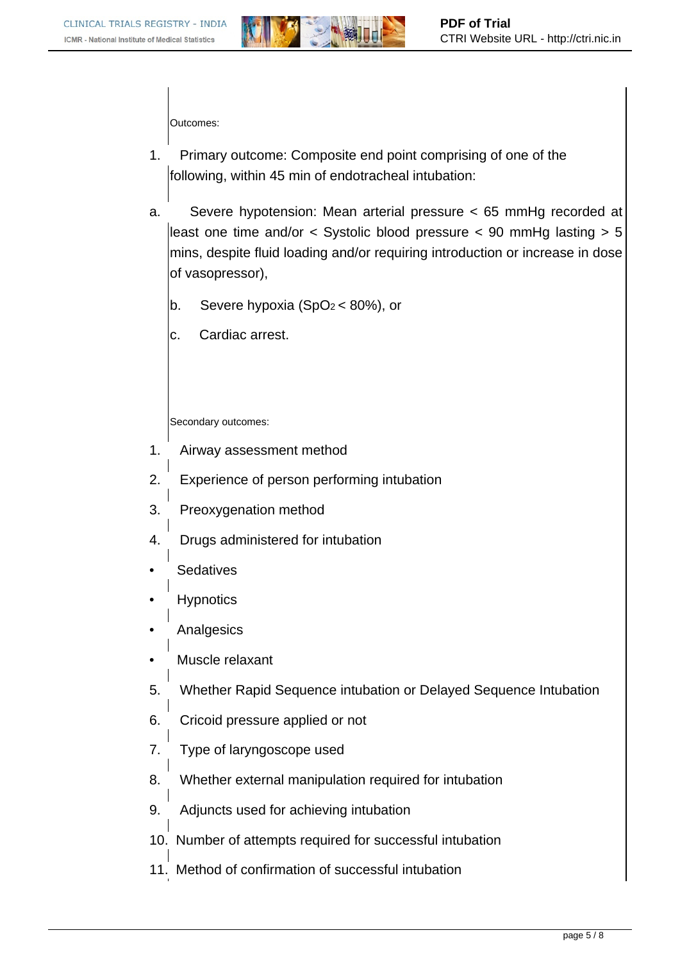

Outcomes:

- 1. Primary outcome: Composite end point comprising of one of the following, within 45 min of endotracheal intubation:
- a. Severe hypotension: Mean arterial pressure < 65 mmHg recorded at least one time and/or < Systolic blood pressure < 90 mmHg lasting > 5 mins, despite fluid loading and/or requiring introduction or increase in dose of vasopressor),
	- b. Severe hypoxia  $(SpO<sub>2</sub> < 80%)$ , or
	- c. Cardiac arrest.

Secondary outcomes:

- 1. Airway assessment method
- 2. Experience of person performing intubation
- 3. Preoxygenation method
- 4. Drugs administered for intubation
- **Sedatives**
- **Hypnotics**
- **Analgesics**
- Muscle relaxant
- 5. Whether Rapid Sequence intubation or Delayed Sequence Intubation
- 6. Cricoid pressure applied or not
- 7. Type of laryngoscope used
- 8. Whether external manipulation required for intubation
- 9. Adjuncts used for achieving intubation
- 10. Number of attempts required for successful intubation
- 11. Method of confirmation of successful intubation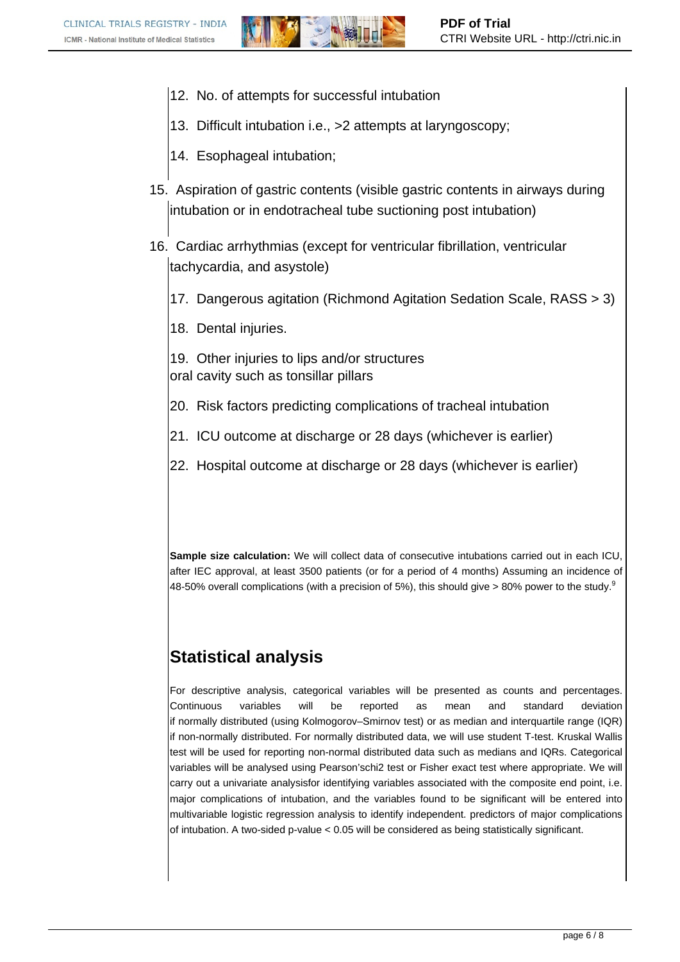- 12. No. of attempts for successful intubation
- 13. Difficult intubation i.e., >2 attempts at laryngoscopy;
- 14. Esophageal intubation;
- 15. Aspiration of gastric contents (visible gastric contents in airways during intubation or in endotracheal tube suctioning post intubation)
- 16. Cardiac arrhythmias (except for ventricular fibrillation, ventricular tachycardia, and asystole)
	- 17. Dangerous agitation (Richmond Agitation Sedation Scale, RASS > 3)
	- 18. Dental injuries.

19. Other injuries to lips and/or structures oral cavity such as tonsillar pillars

- 20. Risk factors predicting complications of tracheal intubation
- 21. ICU outcome at discharge or 28 days (whichever is earlier)
- 22. Hospital outcome at discharge or 28 days (whichever is earlier)

**Sample size calculation:** We will collect data of consecutive intubations carried out in each ICU, after IEC approval, at least 3500 patients (or for a period of 4 months) Assuming an incidence of 48-50% overall complications (with a precision of 5%), this should give  $>80\%$  power to the study.<sup>9</sup>

#### **Statistical analysis**

For descriptive analysis, categorical variables will be presented as counts and percentages. Continuous variables will be reported as mean and standard deviation if normally distributed (using Kolmogorov–Smirnov test) or as median and interquartile range (IQR) if non-normally distributed. For normally distributed data, we will use student T-test. Kruskal Wallis test will be used for reporting non-normal distributed data such as medians and IQRs. Categorical variables will be analysed using Pearson'schi2 test or Fisher exact test where appropriate. We will carry out a univariate analysisfor identifying variables associated with the composite end point, i.e. major complications of intubation, and the variables found to be significant will be entered into multivariable logistic regression analysis to identify independent. predictors of major complications of intubation. A two-sided p-value < 0.05 will be considered as being statistically significant.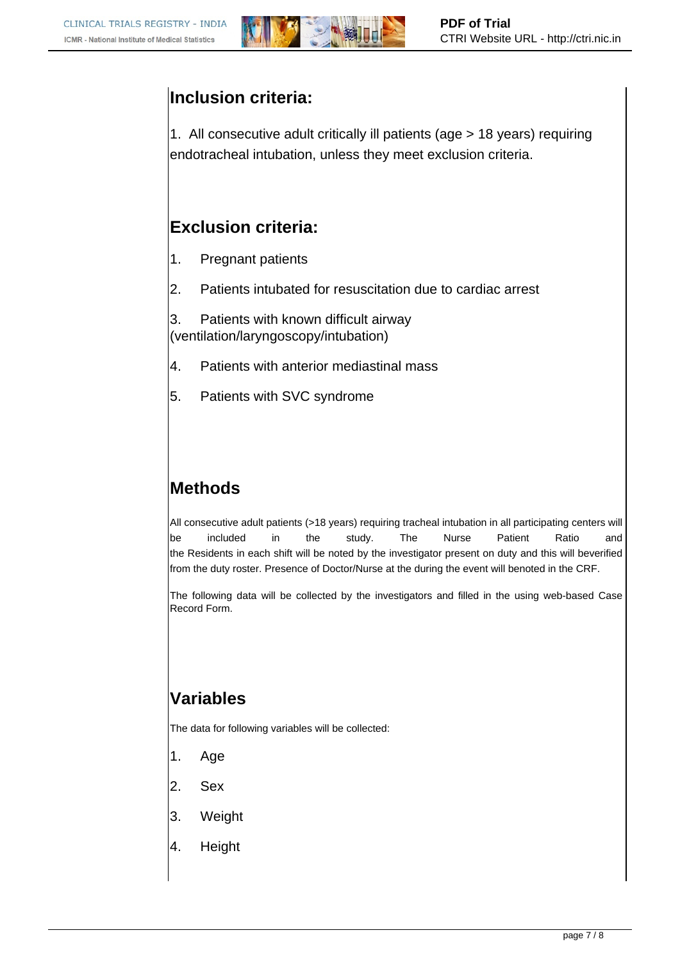

### **Inclusion criteria:**

1. All consecutive adult critically ill patients (age > 18 years) requiring endotracheal intubation, unless they meet exclusion criteria.

### **Exclusion criteria:**

- 1. Pregnant patients
- 2. Patients intubated for resuscitation due to cardiac arrest

3. Patients with known difficult airway (ventilation/laryngoscopy/intubation)

- 4. Patients with anterior mediastinal mass
- 5. Patients with SVC syndrome

# **Methods**

All consecutive adult patients (>18 years) requiring tracheal intubation in all participating centers will be included in the study. The Nurse Patient Ratio and the Residents in each shift will be noted by the investigator present on duty and this will beverified from the duty roster. Presence of Doctor/Nurse at the during the event will benoted in the CRF.

The following data will be collected by the investigators and filled in the using web-based Case Record Form.

## **Variables**

The data for following variables will be collected:

- 1. Age
- 2. Sex
- 3. Weight
- 4. Height